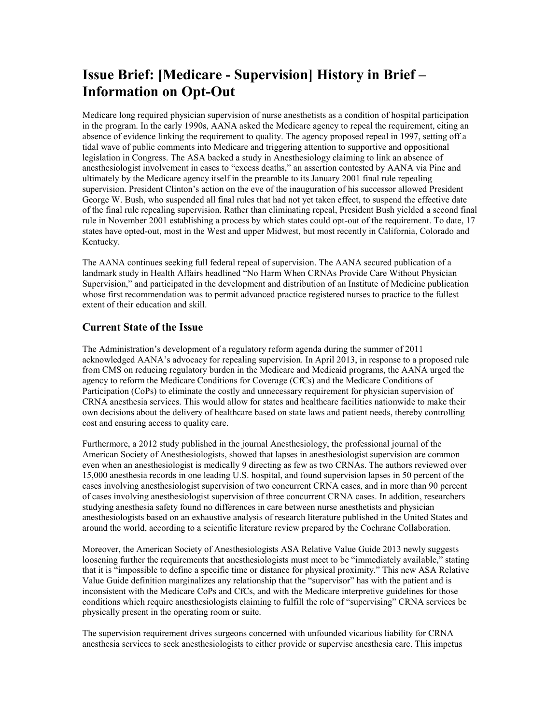## **Issue Brief: [Medicare - Supervision] History in Brief – Information on Opt-Out**

Medicare long required physician supervision of nurse anesthetists as a condition of hospital participation in the program. In the early 1990s, AANA asked the Medicare agency to repeal the requirement, citing an absence of evidence linking the requirement to quality. The agency proposed repeal in 1997, setting off a tidal wave of public comments into Medicare and triggering attention to supportive and oppositional legislation in Congress. The ASA backed a study in Anesthesiology claiming to link an absence of anesthesiologist involvement in cases to "excess deaths," an assertion contested by AANA via Pine and ultimately by the Medicare agency itself in the preamble to its January 2001 final rule repealing supervision. President Clinton's action on the eve of the inauguration of his successor allowed President George W. Bush, who suspended all final rules that had not yet taken effect, to suspend the effective date of the final rule repealing supervision. Rather than eliminating repeal, President Bush yielded a second final rule in November 2001 establishing a process by which states could opt-out of the requirement. To date, 17 states have opted-out, most in the West and upper Midwest, but most recently in California, Colorado and Kentucky.

The AANA continues seeking full federal repeal of supervision. The AANA secured publication of a landmark study in Health Affairs headlined "No Harm When CRNAs Provide Care Without Physician Supervision," and participated in the development and distribution of an Institute of Medicine publication whose first recommendation was to permit advanced practice registered nurses to practice to the fullest extent of their education and skill.

## **Current State of the Issue**

The Administration's development of a regulatory reform agenda during the summer of 2011 acknowledged AANA's advocacy for repealing supervision. In April 2013, in response to a proposed rule from CMS on reducing regulatory burden in the Medicare and Medicaid programs, the AANA urged the agency to reform the Medicare Conditions for Coverage (CfCs) and the Medicare Conditions of Participation (CoPs) to eliminate the costly and unnecessary requirement for physician supervision of CRNA anesthesia services. This would allow for states and healthcare facilities nationwide to make their own decisions about the delivery of healthcare based on state laws and patient needs, thereby controlling cost and ensuring access to quality care.

Furthermore, a 2012 study published in the journal Anesthesiology, the professional journal of the American Society of Anesthesiologists, showed that lapses in anesthesiologist supervision are common even when an anesthesiologist is medically 9 directing as few as two CRNAs. The authors reviewed over 15,000 anesthesia records in one leading U.S. hospital, and found supervision lapses in 50 percent of the cases involving anesthesiologist supervision of two concurrent CRNA cases, and in more than 90 percent of cases involving anesthesiologist supervision of three concurrent CRNA cases. In addition, researchers studying anesthesia safety found no differences in care between nurse anesthetists and physician anesthesiologists based on an exhaustive analysis of research literature published in the United States and around the world, according to a scientific literature review prepared by the Cochrane Collaboration.

Moreover, the American Society of Anesthesiologists ASA Relative Value Guide 2013 newly suggests loosening further the requirements that anesthesiologists must meet to be "immediately available," stating that it is "impossible to define a specific time or distance for physical proximity." This new ASA Relative Value Guide definition marginalizes any relationship that the "supervisor" has with the patient and is inconsistent with the Medicare CoPs and CfCs, and with the Medicare interpretive guidelines for those conditions which require anesthesiologists claiming to fulfill the role of "supervising" CRNA services be physically present in the operating room or suite.

The supervision requirement drives surgeons concerned with unfounded vicarious liability for CRNA anesthesia services to seek anesthesiologists to either provide or supervise anesthesia care. This impetus